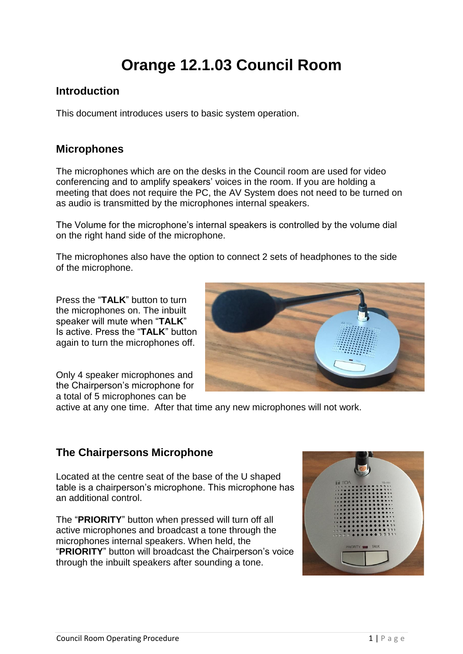# **Orange 12.1.03 Council Room**

#### **Introduction**

This document introduces users to basic system operation.

#### **Microphones**

The microphones which are on the desks in the Council room are used for video conferencing and to amplify speakers' voices in the room. If you are holding a meeting that does not require the PC, the AV System does not need to be turned on as audio is transmitted by the microphones internal speakers.

The Volume for the microphone's internal speakers is controlled by the volume dial on the right hand side of the microphone.

The microphones also have the option to connect 2 sets of headphones to the side of the microphone.

Press the "**TALK**" button to turn the microphones on. The inbuilt speaker will mute when "**TALK**" Is active. Press the "**TALK**" button again to turn the microphones off.

Only 4 speaker microphones and the Chairperson's microphone for a total of 5 microphones can be



active at any one time. After that time any new microphones will not work.

#### **The Chairpersons Microphone**

Located at the centre seat of the base of the U shaped table is a chairperson's microphone. This microphone has an additional control.

The "**PRIORITY**" button when pressed will turn off all active microphones and broadcast a tone through the microphones internal speakers. When held, the "**PRIORITY**" button will broadcast the Chairperson's voice through the inbuilt speakers after sounding a tone.

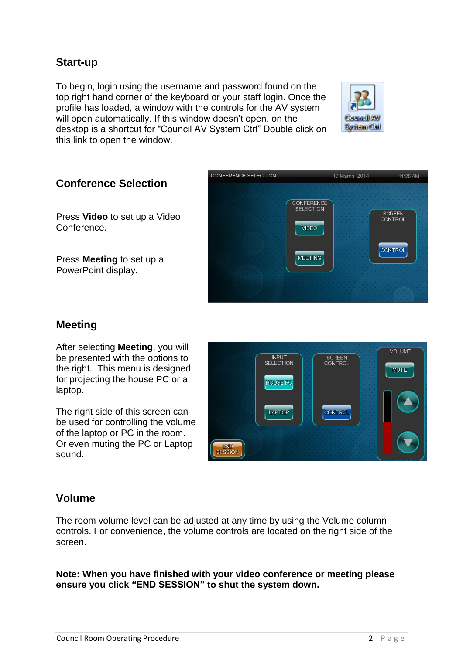#### **Start-up**

To begin, login using the username and password found on the top right hand corner of the keyboard or your staff login. Once the profile has loaded, a window with the controls for the AV system will open automatically. If this window doesn't open, on the desktop is a shortcut for "Council AV System Ctrl" Double click on this link to open the window.





#### **Conference Selection**

Press **Video** to set up a Video Conference.

Press **Meeting** to set up a PowerPoint display.

#### **Meeting**

After selecting **Meeting**, you will be presented with the options to the right. This menu is designed for projecting the house PC or a laptop.

The right side of this screen can be used for controlling the volume of the laptop or PC in the room. Or even muting the PC or Laptop sound.



#### **Volume**

The room volume level can be adjusted at any time by using the Volume column controls. For convenience, the volume controls are located on the right side of the screen.

**Note: When you have finished with your video conference or meeting please ensure you click "END SESSION" to shut the system down.**